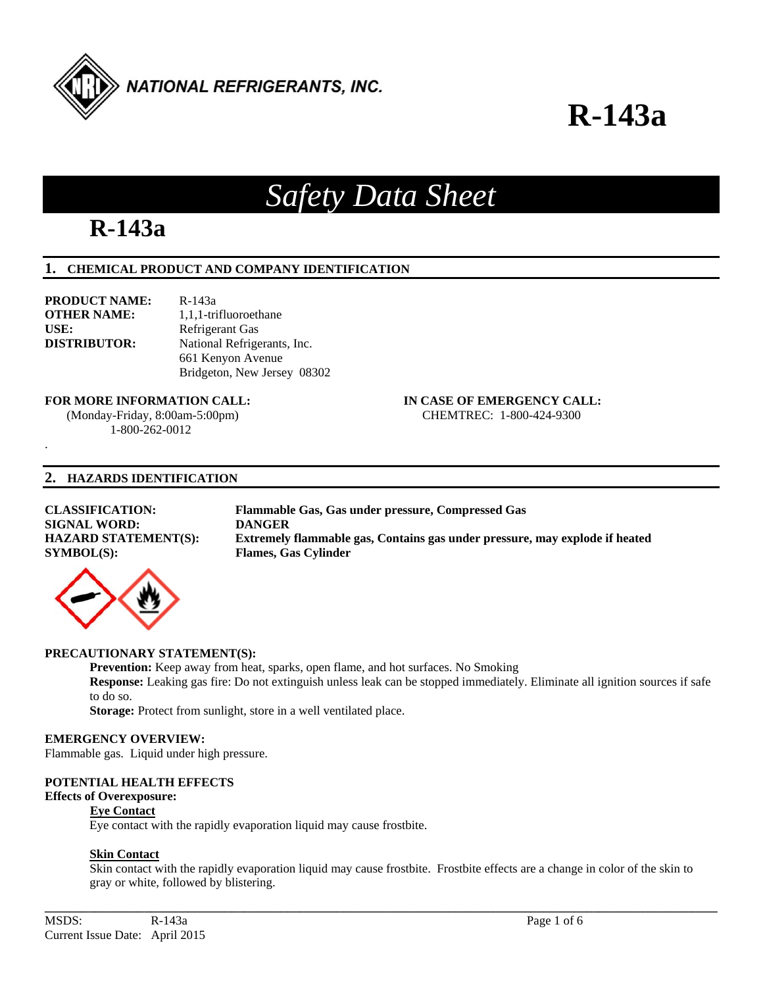

### *Safety Data Sheet*

### **R-143a**

### **1. CHEMICAL PRODUCT AND COMPANY IDENTIFICATION**

**PRODUCT NAME:** R-143a **OTHER NAME:** 1,1,1-trifluoroethane USE: Refrigerant Gas

.

**DISTRIBUTOR:** National Refrigerants, Inc. 661 Kenyon Avenue Bridgeton, New Jersey 08302

#### **FOR MORE INFORMATION CALL: IN CASE OF EMERGENCY CALL:**

 (Monday-Friday, 8:00am-5:00pm) CHEMTREC: 1-800-424-9300 1-800-262-0012

#### **2. HAZARDS IDENTIFICATION**

#### **CLASSIFICATION: Flammable Gas, Gas under pressure, Compressed Gas SIGNAL WORD: DANGER HAZARD STATEMENT(S): Extremely flammable gas, Contains gas under pressure, may explode if heated SYMBOL(S): Flames, Gas Cylinder**



### **PRECAUTIONARY STATEMENT(S):**

**Prevention:** Keep away from heat, sparks, open flame, and hot surfaces. No Smoking **Response:** Leaking gas fire: Do not extinguish unless leak can be stopped immediately. Eliminate all ignition sources if safe to do so.

**Storage:** Protect from sunlight, store in a well ventilated place.

#### **EMERGENCY OVERVIEW:**

Flammable gas. Liquid under high pressure.

### **POTENTIAL HEALTH EFFECTS**

### **Effects of Overexposure:**

#### **Eye Contact**

Eye contact with the rapidly evaporation liquid may cause frostbite.

#### **Skin Contact**

 Skin contact with the rapidly evaporation liquid may cause frostbite. Frostbite effects are a change in color of the skin to gray or white, followed by blistering.

**\_\_\_\_\_\_\_\_\_\_\_\_\_\_\_\_\_\_\_\_\_\_\_\_\_\_\_\_\_\_\_\_\_\_\_\_\_\_\_\_\_\_\_\_\_\_\_\_\_\_\_\_\_\_\_\_\_\_\_\_\_\_\_\_\_\_\_\_\_\_\_\_\_\_\_\_\_\_\_\_\_\_\_\_\_\_\_\_\_\_\_\_\_\_\_\_\_\_\_\_\_\_\_\_\_\_\_\_**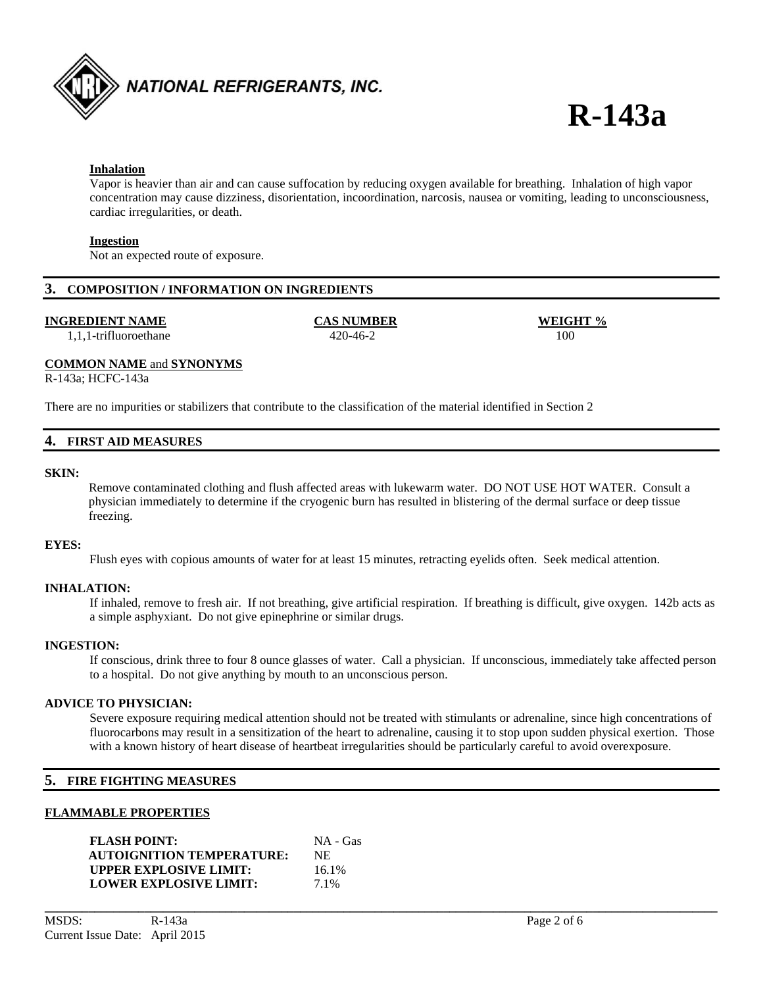

#### **Inhalation**

 Vapor is heavier than air and can cause suffocation by reducing oxygen available for breathing. Inhalation of high vapor concentration may cause dizziness, disorientation, incoordination, narcosis, nausea or vomiting, leading to unconsciousness, cardiac irregularities, or death.

#### **Ingestion**

Not an expected route of exposure.

#### **3. COMPOSITION / INFORMATION ON INGREDIENTS**

#### **INGREDIENT NAME CAS NUMBER WEIGHT %**

1,1,1-trifluoroethane 420-46-2 100

#### **COMMON NAME** and **SYNONYMS**

R-143a; HCFC-143a

There are no impurities or stabilizers that contribute to the classification of the material identified in Section 2

#### **4. FIRST AID MEASURES**

#### **SKIN:**

 Remove contaminated clothing and flush affected areas with lukewarm water. DO NOT USE HOT WATER. Consult a physician immediately to determine if the cryogenic burn has resulted in blistering of the dermal surface or deep tissue freezing.

#### **EYES:**

Flush eyes with copious amounts of water for at least 15 minutes, retracting eyelids often. Seek medical attention.

#### **INHALATION:**

 If inhaled, remove to fresh air. If not breathing, give artificial respiration. If breathing is difficult, give oxygen. 142b acts as a simple asphyxiant. Do not give epinephrine or similar drugs.

#### **INGESTION:**

If conscious, drink three to four 8 ounce glasses of water. Call a physician. If unconscious, immediately take affected person to a hospital. Do not give anything by mouth to an unconscious person.

#### **ADVICE TO PHYSICIAN:**

Severe exposure requiring medical attention should not be treated with stimulants or adrenaline, since high concentrations of fluorocarbons may result in a sensitization of the heart to adrenaline, causing it to stop upon sudden physical exertion. Those with a known history of heart disease of heartbeat irregularities should be particularly careful to avoid overexposure.

**\_\_\_\_\_\_\_\_\_\_\_\_\_\_\_\_\_\_\_\_\_\_\_\_\_\_\_\_\_\_\_\_\_\_\_\_\_\_\_\_\_\_\_\_\_\_\_\_\_\_\_\_\_\_\_\_\_\_\_\_\_\_\_\_\_\_\_\_\_\_\_\_\_\_\_\_\_\_\_\_\_\_\_\_\_\_\_\_\_\_\_\_\_\_\_\_\_\_\_\_\_\_\_\_\_\_\_\_** 

#### **5. FIRE FIGHTING MEASURES**

#### **FLAMMABLE PROPERTIES**

| <b>FLASH POINT:</b>              | NA - Gas |
|----------------------------------|----------|
| <b>AUTOIGNITION TEMPERATURE:</b> | NE.      |
| <b>UPPER EXPLOSIVE LIMIT:</b>    | 16.1%    |
| <b>LOWER EXPLOSIVE LIMIT:</b>    | 7.1%     |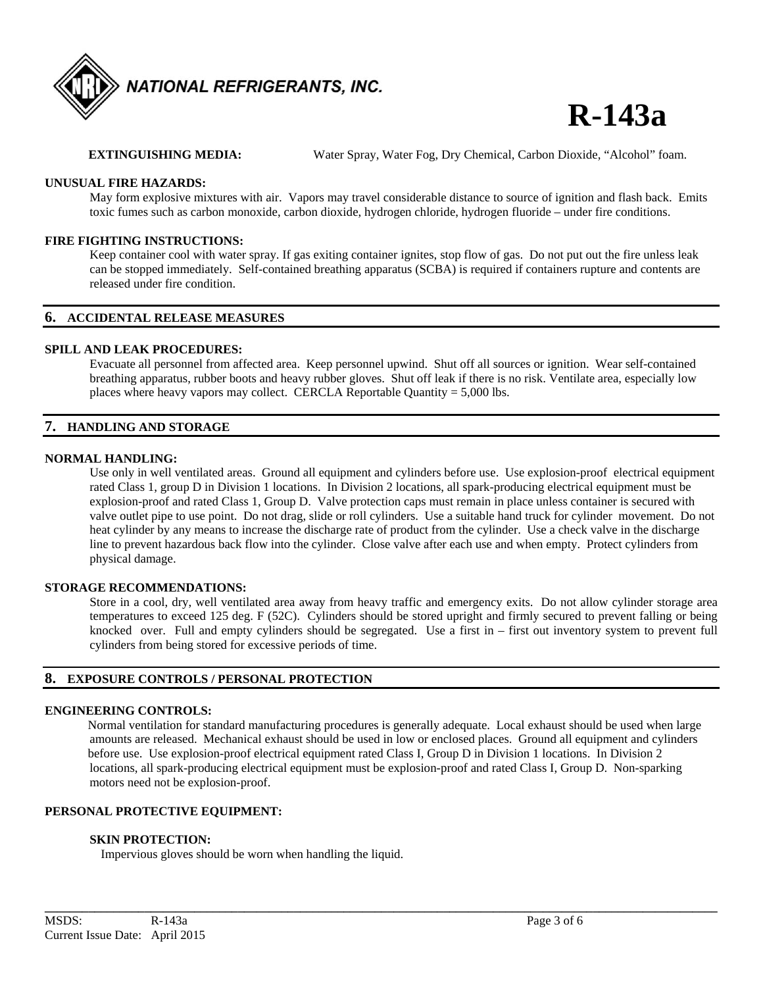

**EXTINGUISHING MEDIA:** Water Spray, Water Fog, Dry Chemical, Carbon Dioxide, "Alcohol" foam.

#### **UNUSUAL FIRE HAZARDS:**

May form explosive mixtures with air. Vapors may travel considerable distance to source of ignition and flash back. Emits toxic fumes such as carbon monoxide, carbon dioxide, hydrogen chloride, hydrogen fluoride – under fire conditions.

#### **FIRE FIGHTING INSTRUCTIONS:**

Keep container cool with water spray. If gas exiting container ignites, stop flow of gas. Do not put out the fire unless leak can be stopped immediately. Self-contained breathing apparatus (SCBA) is required if containers rupture and contents are released under fire condition.

#### **6. ACCIDENTAL RELEASE MEASURES**

#### **SPILL AND LEAK PROCEDURES:**

Evacuate all personnel from affected area. Keep personnel upwind. Shut off all sources or ignition. Wear self-contained breathing apparatus, rubber boots and heavy rubber gloves. Shut off leak if there is no risk. Ventilate area, especially low places where heavy vapors may collect. CERCLA Reportable Quantity  $= 5,000$  lbs.

#### **7. HANDLING AND STORAGE**

#### **NORMAL HANDLING:**

Use only in well ventilated areas. Ground all equipment and cylinders before use. Use explosion-proof electrical equipment rated Class 1, group D in Division 1 locations. In Division 2 locations, all spark-producing electrical equipment must be explosion-proof and rated Class 1, Group D. Valve protection caps must remain in place unless container is secured with valve outlet pipe to use point. Do not drag, slide or roll cylinders. Use a suitable hand truck for cylinder movement. Do not heat cylinder by any means to increase the discharge rate of product from the cylinder. Use a check valve in the discharge line to prevent hazardous back flow into the cylinder. Close valve after each use and when empty. Protect cylinders from physical damage.

#### **STORAGE RECOMMENDATIONS:**

Store in a cool, dry, well ventilated area away from heavy traffic and emergency exits. Do not allow cylinder storage area temperatures to exceed 125 deg. F (52C). Cylinders should be stored upright and firmly secured to prevent falling or being knocked over. Full and empty cylinders should be segregated. Use a first in – first out inventory system to prevent full cylinders from being stored for excessive periods of time.

#### **8. EXPOSURE CONTROLS / PERSONAL PROTECTION**

#### **ENGINEERING CONTROLS:**

Normal ventilation for standard manufacturing procedures is generally adequate. Local exhaust should be used when large amounts are released. Mechanical exhaust should be used in low or enclosed places. Ground all equipment and cylinders before use. Use explosion-proof electrical equipment rated Class I, Group D in Division 1 locations. In Division 2 locations, all spark-producing electrical equipment must be explosion-proof and rated Class I, Group D. Non-sparking motors need not be explosion-proof.

**\_\_\_\_\_\_\_\_\_\_\_\_\_\_\_\_\_\_\_\_\_\_\_\_\_\_\_\_\_\_\_\_\_\_\_\_\_\_\_\_\_\_\_\_\_\_\_\_\_\_\_\_\_\_\_\_\_\_\_\_\_\_\_\_\_\_\_\_\_\_\_\_\_\_\_\_\_\_\_\_\_\_\_\_\_\_\_\_\_\_\_\_\_\_\_\_\_\_\_\_\_\_\_\_\_\_\_\_** 

#### **PERSONAL PROTECTIVE EQUIPMENT:**

#### **SKIN PROTECTION:**

Impervious gloves should be worn when handling the liquid.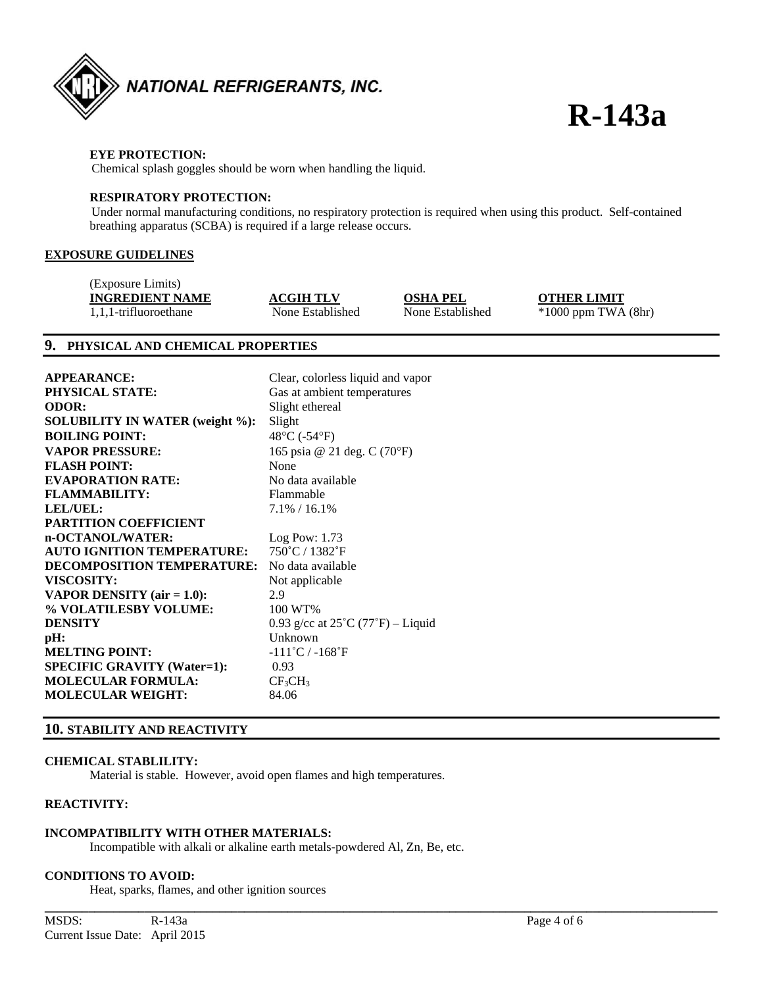

#### **EYE PROTECTION:**

Chemical splash goggles should be worn when handling the liquid.

#### **RESPIRATORY PROTECTION:**

Under normal manufacturing conditions, no respiratory protection is required when using this product. Self-contained breathing apparatus (SCBA) is required if a large release occurs.

#### **EXPOSURE GUIDELINES**

| (Exposure Limits)      |                  |                  |                         |
|------------------------|------------------|------------------|-------------------------|
| <b>INGREDIENT NAME</b> | <b>ACGIH TLV</b> | OSHA PEL         | <b>OTHER LIMIT</b>      |
| 1.1.1-trifluoroethane  | None Established | None Established | $*1000$ ppm TWA $(8hr)$ |

#### **9. PHYSICAL AND CHEMICAL PROPERTIES**

| <b>APPEARANCE:</b>                     | Clear, colorless liquid and vapor                |
|----------------------------------------|--------------------------------------------------|
| <b>PHYSICAL STATE:</b>                 | Gas at ambient temperatures                      |
| <b>ODOR:</b>                           | Slight ethereal                                  |
| <b>SOLUBILITY IN WATER (weight %):</b> | Slight                                           |
| <b>BOILING POINT:</b>                  | $48^{\circ}$ C (-54 $^{\circ}$ F)                |
| <b>VAPOR PRESSURE:</b>                 | 165 psia @ 21 deg. C (70°F)                      |
| <b>FLASH POINT:</b>                    | None                                             |
| <b>EVAPORATION RATE:</b>               | No data available                                |
| <b>FLAMMABILITY:</b>                   | Flammable                                        |
| LEL/UEL:                               | $7.1\% / 16.1\%$                                 |
| <b>PARTITION COEFFICIENT</b>           |                                                  |
| n-OCTANOL/WATER:                       | $Log$ Pow: 1.73                                  |
| <b>AUTO IGNITION TEMPERATURE:</b>      | 750°C / 1382°F                                   |
| <b>DECOMPOSITION TEMPERATURE:</b>      | No data available                                |
| VISCOSITY:                             | Not applicable                                   |
| VAPOR DENSITY (air $= 1.0$ ):          | 2.9                                              |
| % VOLATILESBY VOLUME:                  | 100 WT%                                          |
| <b>DENSITY</b>                         | 0.93 g/cc at $25^{\circ}C(77^{\circ}F)$ - Liquid |
| pH:                                    | Unknown                                          |
| <b>MELTING POINT:</b>                  | $-111^{\circ}$ C / $-168^{\circ}$ F              |
| <b>SPECIFIC GRAVITY (Water=1):</b>     | 0.93                                             |
| <b>MOLECULAR FORMULA:</b>              | $CF_3CH_3$                                       |
| <b>MOLECULAR WEIGHT:</b>               | 84.06                                            |

#### **10. STABILITY AND REACTIVITY**

#### **CHEMICAL STABLILITY:**

Material is stable. However, avoid open flames and high temperatures.

#### **REACTIVITY:**

#### **INCOMPATIBILITY WITH OTHER MATERIALS:**

Incompatible with alkali or alkaline earth metals-powdered Al, Zn, Be, etc.

**\_\_\_\_\_\_\_\_\_\_\_\_\_\_\_\_\_\_\_\_\_\_\_\_\_\_\_\_\_\_\_\_\_\_\_\_\_\_\_\_\_\_\_\_\_\_\_\_\_\_\_\_\_\_\_\_\_\_\_\_\_\_\_\_\_\_\_\_\_\_\_\_\_\_\_\_\_\_\_\_\_\_\_\_\_\_\_\_\_\_\_\_\_\_\_\_\_\_\_\_\_\_\_\_\_\_\_\_** 

#### **CONDITIONS TO AVOID:**

Heat, sparks, flames, and other ignition sources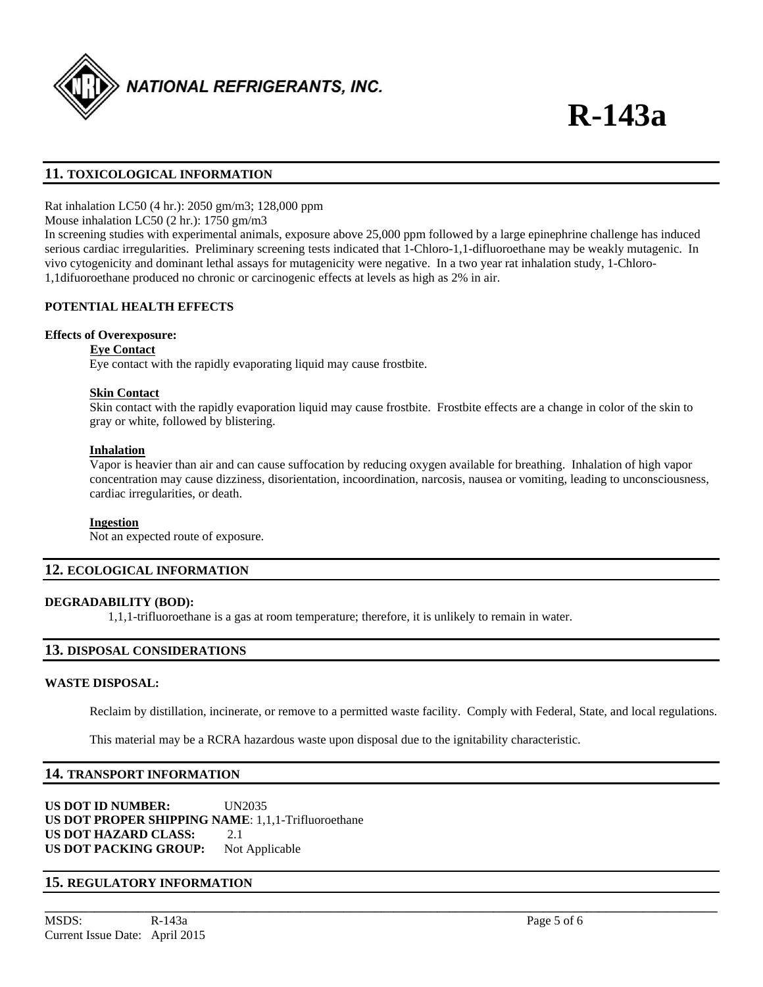

#### **11. TOXICOLOGICAL INFORMATION**

Rat inhalation LC50 (4 hr.): 2050 gm/m3; 128,000 ppm

Mouse inhalation LC50 (2 hr.): 1750 gm/m3

In screening studies with experimental animals, exposure above 25,000 ppm followed by a large epinephrine challenge has induced serious cardiac irregularities. Preliminary screening tests indicated that 1-Chloro-1,1-difluoroethane may be weakly mutagenic. In vivo cytogenicity and dominant lethal assays for mutagenicity were negative. In a two year rat inhalation study, 1-Chloro-1,1difuoroethane produced no chronic or carcinogenic effects at levels as high as 2% in air.

#### **POTENTIAL HEALTH EFFECTS**

#### **Effects of Overexposure:**

#### **Eye Contact**

Eye contact with the rapidly evaporating liquid may cause frostbite.

#### **Skin Contact**

 Skin contact with the rapidly evaporation liquid may cause frostbite. Frostbite effects are a change in color of the skin to gray or white, followed by blistering.

#### **Inhalation**

 Vapor is heavier than air and can cause suffocation by reducing oxygen available for breathing. Inhalation of high vapor concentration may cause dizziness, disorientation, incoordination, narcosis, nausea or vomiting, leading to unconsciousness, cardiac irregularities, or death.

#### **Ingestion**

Not an expected route of exposure.

#### **12. ECOLOGICAL INFORMATION**

#### **DEGRADABILITY (BOD):**

1,1,1-trifluoroethane is a gas at room temperature; therefore, it is unlikely to remain in water.

#### **13. DISPOSAL CONSIDERATIONS**

#### **WASTE DISPOSAL:**

Reclaim by distillation, incinerate, or remove to a permitted waste facility. Comply with Federal, State, and local regulations.

**\_\_\_\_\_\_\_\_\_\_\_\_\_\_\_\_\_\_\_\_\_\_\_\_\_\_\_\_\_\_\_\_\_\_\_\_\_\_\_\_\_\_\_\_\_\_\_\_\_\_\_\_\_\_\_\_\_\_\_\_\_\_\_\_\_\_\_\_\_\_\_\_\_\_\_\_\_\_\_\_\_\_\_\_\_\_\_\_\_\_\_\_\_\_\_\_\_\_\_\_\_\_\_\_\_\_\_\_** 

This material may be a RCRA hazardous waste upon disposal due to the ignitability characteristic.

#### **14. TRANSPORT INFORMATION**

**US DOT ID NUMBER:** UN2035 **US DOT PROPER SHIPPING NAME**: 1,1,1-Trifluoroethane **US DOT HAZARD CLASS:** 2.1 US DOT PACKING GROUP: Not Applicable

#### **15. REGULATORY INFORMATION**